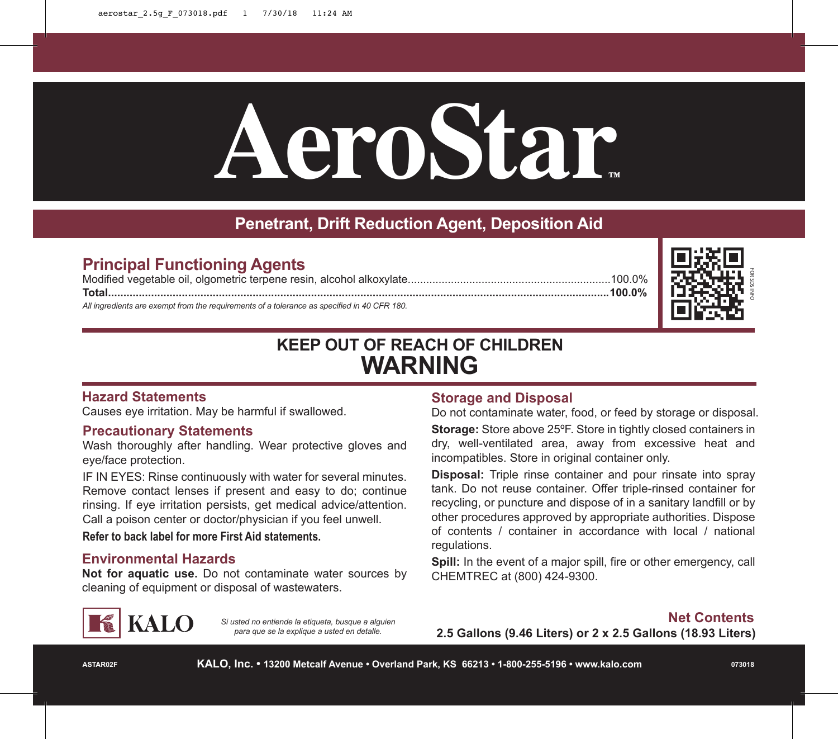# **AeroStar™**

### **Penetrant, Drift Reduction Agent, Deposition Aid**

#### **Principal Functioning Agents**

Modified vegetable oil, olgometric terpene resin, alcohol alkoxylate..................................................................100.0% **Total...................................................................................................................................................................100.0%**

*All ingredients are exempt from the requirements of a tolerance as specified in 40 CFR 180.*



## **KEEP OUT OF REACH OF CHILDREN WARNING**

#### **Hazard Statements**

Causes eye irritation. May be harmful if swallowed.

#### **Precautionary Statements**

Wash thoroughly after handling. Wear protective gloves and eye/face protection.

IF IN EYES: Rinse continuously with water for several minutes. Remove contact lenses if present and easy to do; continue rinsing. If eye irritation persists, get medical advice/attention. Call a poison center or doctor/physician if you feel unwell.

**Refer to back label for more First Aid statements.**

#### **Environmental Hazards**

**Not for aquatic use.** Do not contaminate water sources by cleaning of equipment or disposal of wastewaters.

# **KALO**

*Si usted no entiende la etiqueta, busque a alguien para que se la explique a usted en detalle.*

#### **Storage and Disposal**

Do not contaminate water, food, or feed by storage or disposal. **Storage:** Store above 25°F. Store in tightly closed containers in dry, well-ventilated area, away from excessive heat and incompatibles. Store in original container only.

**Disposal:** Triple rinse container and pour rinsate into spray tank. Do not reuse container. Offer triple-rinsed container for recycling, or puncture and dispose of in a sanitary landfill or by other procedures approved by appropriate authorities. Dispose of contents / container in accordance with local / national regulations.

**Spill:** In the event of a major spill, fire or other emergency, call CHEMTREC at (800) 424-9300.

**2.5 Gallons (9.46 Liters) or 2 x 2.5 Gallons (18.93 Liters)**

**ASTAR02F**

**KALO, Inc. • 13200 Metcalf Avenue • Overland Park, KS 66213 • 1-800-255-5196 • www.kalo.com**

**073018**

**Net Contents**